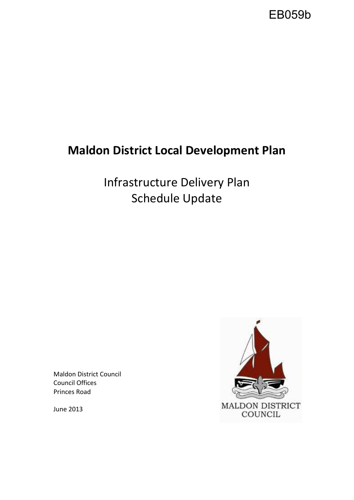

# **Maldon District Local Development Plan**

Infrastructure Delivery Plan Schedule Update

Maldon District Council Council Offices Princes Road

June 2013

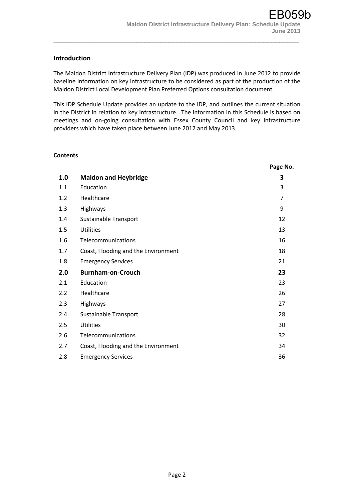#### **Introduction**

The Maldon District Infrastructure Delivery Plan (IDP) was produced in June 2012 to provide baseline information on key infrastructure to be considered as part of the production of the Maldon District Local Development Plan Preferred Options consultation document.

\_\_\_\_\_\_\_\_\_\_\_\_\_\_\_\_\_\_\_\_\_\_\_\_\_\_\_\_\_\_\_\_\_\_\_\_\_\_\_\_\_\_\_\_\_\_\_\_\_\_\_\_\_\_\_\_\_\_\_\_\_\_

This IDP Schedule Update provides an update to the IDP, and outlines the current situation in the District in relation to key infrastructure. The information in this Schedule is based on meetings and on-going consultation with Essex County Council and key infrastructure providers which have taken place between June 2012 and May 2013.

#### **Contents**

|     |                                     | Page No.       |
|-----|-------------------------------------|----------------|
| 1.0 | <b>Maldon and Heybridge</b>         | 3              |
| 1.1 | Education                           | 3              |
| 1.2 | Healthcare                          | $\overline{7}$ |
| 1.3 | Highways                            | 9              |
| 1.4 | Sustainable Transport               | 12             |
| 1.5 | <b>Utilities</b>                    | 13             |
| 1.6 | Telecommunications                  | 16             |
| 1.7 | Coast, Flooding and the Environment | 18             |
| 1.8 | <b>Emergency Services</b>           | 21             |
| 2.0 | <b>Burnham-on-Crouch</b>            | 23             |
| 2.1 | Education                           | 23             |
| 2.2 | Healthcare                          | 26             |
| 2.3 | Highways                            | 27             |
| 2.4 | Sustainable Transport               | 28             |
| 2.5 | <b>Utilities</b>                    | 30             |
| 2.6 | Telecommunications                  | 32             |
| 2.7 | Coast, Flooding and the Environment | 34             |
| 2.8 | <b>Emergency Services</b>           | 36             |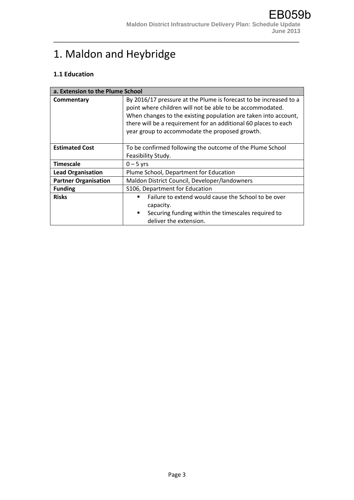# 1. Maldon and Heybridge

### **1.1 Education**

| a. Extension to the Plume School |                                                                                                                                                                                                                                                                                                                        |
|----------------------------------|------------------------------------------------------------------------------------------------------------------------------------------------------------------------------------------------------------------------------------------------------------------------------------------------------------------------|
| Commentary                       | By 2016/17 pressure at the Plume is forecast to be increased to a<br>point where children will not be able to be accommodated.<br>When changes to the existing population are taken into account,<br>there will be a requirement for an additional 60 places to each<br>year group to accommodate the proposed growth. |
| <b>Estimated Cost</b>            | To be confirmed following the outcome of the Plume School<br>Feasibility Study.                                                                                                                                                                                                                                        |
| <b>Timescale</b>                 | $0 - 5$ yrs                                                                                                                                                                                                                                                                                                            |
| <b>Lead Organisation</b>         | Plume School, Department for Education                                                                                                                                                                                                                                                                                 |
| <b>Partner Organisation</b>      | Maldon District Council, Developer/landowners                                                                                                                                                                                                                                                                          |
| <b>Funding</b>                   | S106, Department for Education                                                                                                                                                                                                                                                                                         |
| <b>Risks</b>                     | Failure to extend would cause the School to be over<br>capacity.<br>Securing funding within the timescales required to<br>п.<br>deliver the extension.                                                                                                                                                                 |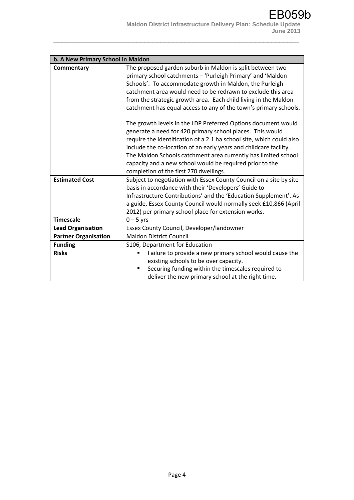| b. A New Primary School in Maldon |                                                                                                                                                                                                                                                                                                                                                                                                                                                                                                                                                                                                                                                                                                                                                                                                                                              |  |
|-----------------------------------|----------------------------------------------------------------------------------------------------------------------------------------------------------------------------------------------------------------------------------------------------------------------------------------------------------------------------------------------------------------------------------------------------------------------------------------------------------------------------------------------------------------------------------------------------------------------------------------------------------------------------------------------------------------------------------------------------------------------------------------------------------------------------------------------------------------------------------------------|--|
| Commentary                        | The proposed garden suburb in Maldon is split between two<br>primary school catchments - 'Purleigh Primary' and 'Maldon<br>Schools'. To accommodate growth in Maldon, the Purleigh<br>catchment area would need to be redrawn to exclude this area<br>from the strategic growth area. Each child living in the Maldon<br>catchment has equal access to any of the town's primary schools.<br>The growth levels in the LDP Preferred Options document would<br>generate a need for 420 primary school places. This would<br>require the identification of a 2.1 ha school site, which could also<br>include the co-location of an early years and childcare facility.<br>The Maldon Schools catchment area currently has limited school<br>capacity and a new school would be required prior to the<br>completion of the first 270 dwellings. |  |
| <b>Estimated Cost</b>             | Subject to negotiation with Essex County Council on a site by site<br>basis in accordance with their 'Developers' Guide to<br>Infrastructure Contributions' and the 'Education Supplement'. As<br>a guide, Essex County Council would normally seek £10,866 (April<br>2012) per primary school place for extension works.                                                                                                                                                                                                                                                                                                                                                                                                                                                                                                                    |  |
| <b>Timescale</b>                  | $0 - 5$ yrs                                                                                                                                                                                                                                                                                                                                                                                                                                                                                                                                                                                                                                                                                                                                                                                                                                  |  |
| <b>Lead Organisation</b>          | Essex County Council, Developer/landowner                                                                                                                                                                                                                                                                                                                                                                                                                                                                                                                                                                                                                                                                                                                                                                                                    |  |
| <b>Partner Organisation</b>       | <b>Maldon District Council</b>                                                                                                                                                                                                                                                                                                                                                                                                                                                                                                                                                                                                                                                                                                                                                                                                               |  |
| <b>Funding</b>                    | S106, Department for Education                                                                                                                                                                                                                                                                                                                                                                                                                                                                                                                                                                                                                                                                                                                                                                                                               |  |
| <b>Risks</b>                      | Failure to provide a new primary school would cause the<br>٠<br>existing schools to be over capacity.<br>Securing funding within the timescales required to<br>deliver the new primary school at the right time.                                                                                                                                                                                                                                                                                                                                                                                                                                                                                                                                                                                                                             |  |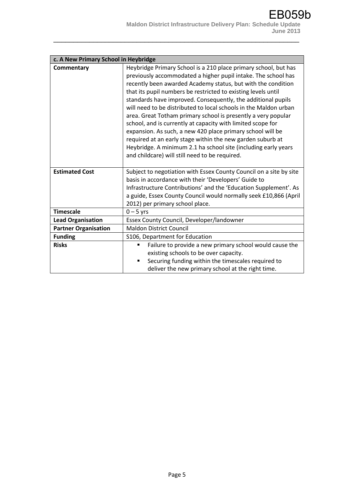| c. A New Primary School in Heybridge |                                                                                                                                                                                                                                                                                                                                                                                                                                                                                                                                                                                                                                                                                                                                                                                       |  |
|--------------------------------------|---------------------------------------------------------------------------------------------------------------------------------------------------------------------------------------------------------------------------------------------------------------------------------------------------------------------------------------------------------------------------------------------------------------------------------------------------------------------------------------------------------------------------------------------------------------------------------------------------------------------------------------------------------------------------------------------------------------------------------------------------------------------------------------|--|
| Commentary                           | Heybridge Primary School is a 210 place primary school, but has<br>previously accommodated a higher pupil intake. The school has<br>recently been awarded Academy status, but with the condition<br>that its pupil numbers be restricted to existing levels until<br>standards have improved. Consequently, the additional pupils<br>will need to be distributed to local schools in the Maldon urban<br>area. Great Totham primary school is presently a very popular<br>school, and is currently at capacity with limited scope for<br>expansion. As such, a new 420 place primary school will be<br>required at an early stage within the new garden suburb at<br>Heybridge. A minimum 2.1 ha school site (including early years<br>and childcare) will still need to be required. |  |
| <b>Estimated Cost</b>                | Subject to negotiation with Essex County Council on a site by site<br>basis in accordance with their 'Developers' Guide to                                                                                                                                                                                                                                                                                                                                                                                                                                                                                                                                                                                                                                                            |  |
|                                      | Infrastructure Contributions' and the 'Education Supplement'. As<br>a guide, Essex County Council would normally seek £10,866 (April<br>2012) per primary school place.                                                                                                                                                                                                                                                                                                                                                                                                                                                                                                                                                                                                               |  |
| <b>Timescale</b>                     | $0 - 5$ yrs                                                                                                                                                                                                                                                                                                                                                                                                                                                                                                                                                                                                                                                                                                                                                                           |  |
| <b>Lead Organisation</b>             | Essex County Council, Developer/landowner                                                                                                                                                                                                                                                                                                                                                                                                                                                                                                                                                                                                                                                                                                                                             |  |
| <b>Partner Organisation</b>          | <b>Maldon District Council</b>                                                                                                                                                                                                                                                                                                                                                                                                                                                                                                                                                                                                                                                                                                                                                        |  |
| <b>Funding</b>                       | S106, Department for Education                                                                                                                                                                                                                                                                                                                                                                                                                                                                                                                                                                                                                                                                                                                                                        |  |
| <b>Risks</b>                         | Failure to provide a new primary school would cause the<br>٠<br>existing schools to be over capacity.<br>Securing funding within the timescales required to<br>deliver the new primary school at the right time.                                                                                                                                                                                                                                                                                                                                                                                                                                                                                                                                                                      |  |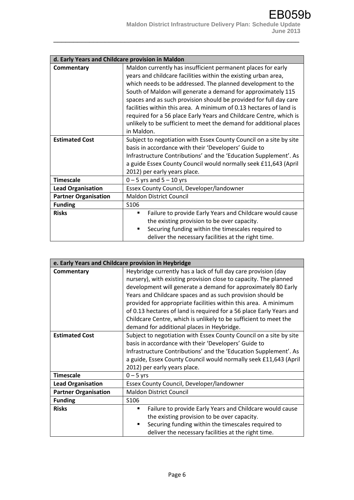| d. Early Years and Childcare provision in Maldon |                                                                    |  |
|--------------------------------------------------|--------------------------------------------------------------------|--|
| Commentary                                       | Maldon currently has insufficient permanent places for early       |  |
|                                                  | years and childcare facilities within the existing urban area,     |  |
|                                                  | which needs to be addressed. The planned development to the        |  |
|                                                  | South of Maldon will generate a demand for approximately 115       |  |
|                                                  | spaces and as such provision should be provided for full day care  |  |
|                                                  | facilities within this area. A minimum of 0.13 hectares of land is |  |
|                                                  | required for a 56 place Early Years and Childcare Centre, which is |  |
|                                                  | unlikely to be sufficient to meet the demand for additional places |  |
|                                                  | in Maldon.                                                         |  |
| <b>Estimated Cost</b>                            | Subject to negotiation with Essex County Council on a site by site |  |
|                                                  | basis in accordance with their 'Developers' Guide to               |  |
|                                                  | Infrastructure Contributions' and the 'Education Supplement'. As   |  |
|                                                  | a guide Essex County Council would normally seek £11,643 (April    |  |
|                                                  | 2012) per early years place.                                       |  |
| <b>Timescale</b>                                 | $0 - 5$ yrs and $5 - 10$ yrs                                       |  |
| <b>Lead Organisation</b>                         | Essex County Council, Developer/landowner                          |  |
| <b>Partner Organisation</b>                      | <b>Maldon District Council</b>                                     |  |
| <b>Funding</b>                                   | S <sub>106</sub>                                                   |  |
| <b>Risks</b>                                     | Failure to provide Early Years and Childcare would cause<br>٠      |  |
|                                                  | the existing provision to be over capacity.                        |  |
|                                                  | Securing funding within the timescales required to                 |  |
|                                                  | deliver the necessary facilities at the right time.                |  |

| e. Early Years and Childcare provision in Heybridge |                                                                     |  |
|-----------------------------------------------------|---------------------------------------------------------------------|--|
| Commentary                                          | Heybridge currently has a lack of full day care provision (day      |  |
|                                                     | nursery), with existing provision close to capacity. The planned    |  |
|                                                     | development will generate a demand for approximately 80 Early       |  |
|                                                     | Years and Childcare spaces and as such provision should be          |  |
|                                                     | provided for appropriate facilities within this area. A minimum     |  |
|                                                     | of 0.13 hectares of land is required for a 56 place Early Years and |  |
|                                                     | Childcare Centre, which is unlikely to be sufficient to meet the    |  |
|                                                     | demand for additional places in Heybridge.                          |  |
| <b>Estimated Cost</b>                               | Subject to negotiation with Essex County Council on a site by site  |  |
|                                                     | basis in accordance with their 'Developers' Guide to                |  |
|                                                     | Infrastructure Contributions' and the 'Education Supplement'. As    |  |
|                                                     | a guide, Essex County Council would normally seek £11,643 (April    |  |
|                                                     | 2012) per early years place.                                        |  |
| <b>Timescale</b>                                    | $0 - 5$ yrs                                                         |  |
| <b>Lead Organisation</b>                            | Essex County Council, Developer/landowner                           |  |
| <b>Partner Organisation</b>                         | <b>Maldon District Council</b>                                      |  |
| <b>Funding</b>                                      | S <sub>106</sub>                                                    |  |
| <b>Risks</b>                                        | Failure to provide Early Years and Childcare would cause<br>٠       |  |
|                                                     | the existing provision to be over capacity.                         |  |
|                                                     | Securing funding within the timescales required to<br>٠             |  |
|                                                     | deliver the necessary facilities at the right time.                 |  |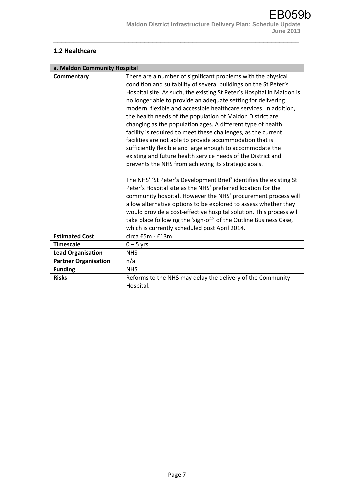### **1.2 Healthcare**

| a. Maldon Community Hospital                                               |                                                                       |  |
|----------------------------------------------------------------------------|-----------------------------------------------------------------------|--|
| There are a number of significant problems with the physical<br>Commentary |                                                                       |  |
|                                                                            | condition and suitability of several buildings on the St Peter's      |  |
|                                                                            | Hospital site. As such, the existing St Peter's Hospital in Maldon is |  |
|                                                                            | no longer able to provide an adequate setting for delivering          |  |
|                                                                            | modern, flexible and accessible healthcare services. In addition,     |  |
|                                                                            | the health needs of the population of Maldon District are             |  |
|                                                                            | changing as the population ages. A different type of health           |  |
|                                                                            | facility is required to meet these challenges, as the current         |  |
|                                                                            | facilities are not able to provide accommodation that is              |  |
|                                                                            | sufficiently flexible and large enough to accommodate the             |  |
|                                                                            | existing and future health service needs of the District and          |  |
|                                                                            | prevents the NHS from achieving its strategic goals.                  |  |
|                                                                            |                                                                       |  |
|                                                                            | The NHS' 'St Peter's Development Brief' identifies the existing St    |  |
|                                                                            | Peter's Hospital site as the NHS' preferred location for the          |  |
|                                                                            | community hospital. However the NHS' procurement process will         |  |
|                                                                            | allow alternative options to be explored to assess whether they       |  |
|                                                                            | would provide a cost-effective hospital solution. This process will   |  |
|                                                                            | take place following the 'sign-off' of the Outline Business Case,     |  |
|                                                                            | which is currently scheduled post April 2014.                         |  |
| <b>Estimated Cost</b>                                                      | circa £5m - £13m                                                      |  |
| <b>Timescale</b>                                                           | $0 - 5$ yrs                                                           |  |
| <b>Lead Organisation</b>                                                   | <b>NHS</b>                                                            |  |
| <b>Partner Organisation</b>                                                | n/a                                                                   |  |
| <b>Funding</b>                                                             | <b>NHS</b>                                                            |  |
| <b>Risks</b>                                                               | Reforms to the NHS may delay the delivery of the Community            |  |
|                                                                            | Hospital.                                                             |  |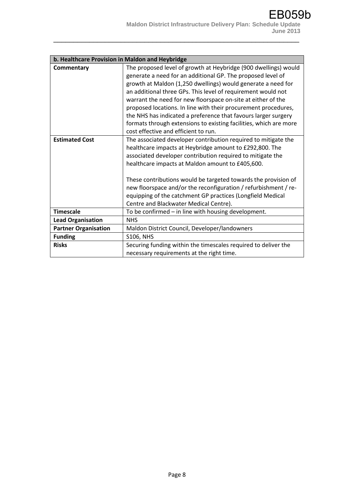| b. Healthcare Provision in Maldon and Heybridge |                                                                                                                                                                                                                                                                                                                                                                                                                                                                                                                                         |
|-------------------------------------------------|-----------------------------------------------------------------------------------------------------------------------------------------------------------------------------------------------------------------------------------------------------------------------------------------------------------------------------------------------------------------------------------------------------------------------------------------------------------------------------------------------------------------------------------------|
| Commentary                                      | The proposed level of growth at Heybridge (900 dwellings) would<br>generate a need for an additional GP. The proposed level of<br>growth at Maldon (1,250 dwellings) would generate a need for<br>an additional three GPs. This level of requirement would not<br>warrant the need for new floorspace on-site at either of the<br>proposed locations. In line with their procurement procedures,<br>the NHS has indicated a preference that favours larger surgery<br>formats through extensions to existing facilities, which are more |
|                                                 | cost effective and efficient to run.                                                                                                                                                                                                                                                                                                                                                                                                                                                                                                    |
| <b>Estimated Cost</b>                           | The associated developer contribution required to mitigate the<br>healthcare impacts at Heybridge amount to £292,800. The<br>associated developer contribution required to mitigate the<br>healthcare impacts at Maldon amount to £405,600.<br>These contributions would be targeted towards the provision of<br>new floorspace and/or the reconfiguration / refurbishment / re-<br>equipping of the catchment GP practices (Longfield Medical<br>Centre and Blackwater Medical Centre).                                                |
| <b>Timescale</b>                                | To be confirmed - in line with housing development.                                                                                                                                                                                                                                                                                                                                                                                                                                                                                     |
| <b>Lead Organisation</b>                        | <b>NHS</b>                                                                                                                                                                                                                                                                                                                                                                                                                                                                                                                              |
| <b>Partner Organisation</b>                     | Maldon District Council, Developer/landowners                                                                                                                                                                                                                                                                                                                                                                                                                                                                                           |
| <b>Funding</b>                                  | <b>S106, NHS</b>                                                                                                                                                                                                                                                                                                                                                                                                                                                                                                                        |
| <b>Risks</b>                                    | Securing funding within the timescales required to deliver the<br>necessary requirements at the right time.                                                                                                                                                                                                                                                                                                                                                                                                                             |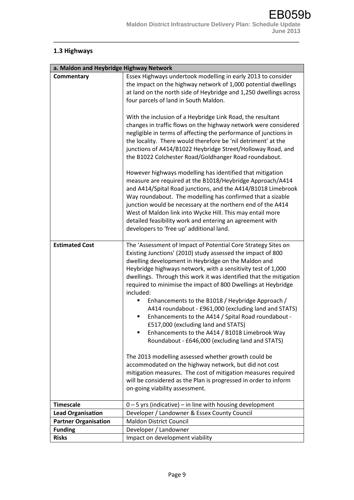# **1.3 Highways**

| a. Maldon and Heybridge Highway Network |                                                                                                                                                                                                                                                                                                                                                                                                                                                                                                                                                                                                                                                                                                                                                                                                                                                                                                                                                                                                                                                                                                                                                                                                                                                                        |
|-----------------------------------------|------------------------------------------------------------------------------------------------------------------------------------------------------------------------------------------------------------------------------------------------------------------------------------------------------------------------------------------------------------------------------------------------------------------------------------------------------------------------------------------------------------------------------------------------------------------------------------------------------------------------------------------------------------------------------------------------------------------------------------------------------------------------------------------------------------------------------------------------------------------------------------------------------------------------------------------------------------------------------------------------------------------------------------------------------------------------------------------------------------------------------------------------------------------------------------------------------------------------------------------------------------------------|
| Commentary<br><b>Estimated Cost</b>     | Essex Highways undertook modelling in early 2013 to consider<br>the impact on the highway network of 1,000 potential dwellings<br>at land on the north side of Heybridge and 1,250 dwellings across<br>four parcels of land in South Maldon.<br>With the inclusion of a Heybridge Link Road, the resultant<br>changes in traffic flows on the highway network were considered<br>negligible in terms of affecting the performance of junctions in<br>the locality. There would therefore be 'nil detriment' at the<br>junctions of A414/B1022 Heybridge Street/Holloway Road, and<br>the B1022 Colchester Road/Goldhanger Road roundabout.<br>However highways modelling has identified that mitigation<br>measure are required at the B1018/Heybridge Approach/A414<br>and A414/Spital Road junctions, and the A414/B1018 Limebrook<br>Way roundabout. The modelling has confirmed that a sizable<br>junction would be necessary at the northern end of the A414<br>West of Maldon link into Wycke Hill. This may entail more<br>detailed feasibility work and entering an agreement with<br>developers to 'free up' additional land.<br>The 'Assessment of Impact of Potential Core Strategy Sites on<br>Existing Junctions' (2010) study assessed the impact of 800 |
|                                         | dwelling development in Heybridge on the Maldon and<br>Heybridge highways network, with a sensitivity test of 1,000<br>dwellings. Through this work it was identified that the mitigation<br>required to minimise the impact of 800 Dwellings at Heybridge<br>included:<br>Enhancements to the B1018 / Heybridge Approach /<br>٠<br>A414 roundabout - £961,000 (excluding land and STATS)<br>Enhancements to the A414 / Spital Road roundabout -<br>٠<br>£517,000 (excluding land and STATS)<br>Enhancements to the A414 / B1018 Limebrook Way<br>٠<br>Roundabout - £646,000 (excluding land and STATS)<br>The 2013 modelling assessed whether growth could be                                                                                                                                                                                                                                                                                                                                                                                                                                                                                                                                                                                                         |
|                                         | accommodated on the highway network, but did not cost<br>mitigation measures. The cost of mitigation measures required<br>will be considered as the Plan is progressed in order to inform<br>on-going viability assessment.                                                                                                                                                                                                                                                                                                                                                                                                                                                                                                                                                                                                                                                                                                                                                                                                                                                                                                                                                                                                                                            |
| <b>Timescale</b>                        | $0 - 5$ yrs (indicative) – in line with housing development                                                                                                                                                                                                                                                                                                                                                                                                                                                                                                                                                                                                                                                                                                                                                                                                                                                                                                                                                                                                                                                                                                                                                                                                            |
| <b>Lead Organisation</b>                | Developer / Landowner & Essex County Council                                                                                                                                                                                                                                                                                                                                                                                                                                                                                                                                                                                                                                                                                                                                                                                                                                                                                                                                                                                                                                                                                                                                                                                                                           |
| <b>Partner Organisation</b>             | <b>Maldon District Council</b>                                                                                                                                                                                                                                                                                                                                                                                                                                                                                                                                                                                                                                                                                                                                                                                                                                                                                                                                                                                                                                                                                                                                                                                                                                         |
| <b>Funding</b>                          | Developer / Landowner                                                                                                                                                                                                                                                                                                                                                                                                                                                                                                                                                                                                                                                                                                                                                                                                                                                                                                                                                                                                                                                                                                                                                                                                                                                  |
| <b>Risks</b>                            | Impact on development viability                                                                                                                                                                                                                                                                                                                                                                                                                                                                                                                                                                                                                                                                                                                                                                                                                                                                                                                                                                                                                                                                                                                                                                                                                                        |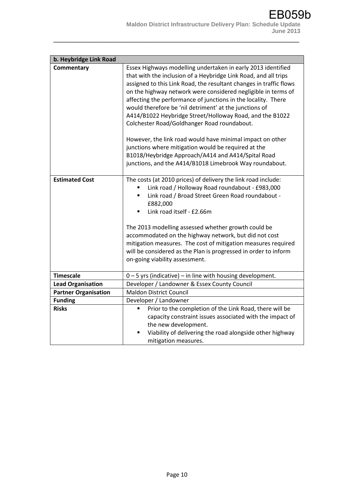| b. Heybridge Link Road      |                                                                                                                                                                                                                                                                                                                                                                                                                                                                                                                                                                                                                                                                                                                                                   |  |
|-----------------------------|---------------------------------------------------------------------------------------------------------------------------------------------------------------------------------------------------------------------------------------------------------------------------------------------------------------------------------------------------------------------------------------------------------------------------------------------------------------------------------------------------------------------------------------------------------------------------------------------------------------------------------------------------------------------------------------------------------------------------------------------------|--|
| Commentary                  | Essex Highways modelling undertaken in early 2013 identified<br>that with the inclusion of a Heybridge Link Road, and all trips<br>assigned to this Link Road, the resultant changes in traffic flows<br>on the highway network were considered negligible in terms of<br>affecting the performance of junctions in the locality. There<br>would therefore be 'nil detriment' at the junctions of<br>A414/B1022 Heybridge Street/Holloway Road, and the B1022<br>Colchester Road/Goldhanger Road roundabout.<br>However, the link road would have minimal impact on other<br>junctions where mitigation would be required at the<br>B1018/Heybridge Approach/A414 and A414/Spital Road<br>junctions, and the A414/B1018 Limebrook Way roundabout. |  |
| <b>Estimated Cost</b>       | The costs (at 2010 prices) of delivery the link road include:<br>Link road / Holloway Road roundabout - £983,000<br>Link road / Broad Street Green Road roundabout -<br>٠<br>£882,000<br>Link road itself - £2.66m<br>٠<br>The 2013 modelling assessed whether growth could be<br>accommodated on the highway network, but did not cost<br>mitigation measures. The cost of mitigation measures required<br>will be considered as the Plan is progressed in order to inform<br>on-going viability assessment.                                                                                                                                                                                                                                     |  |
| <b>Timescale</b>            | 0-5 yrs (indicative) - in line with housing development.                                                                                                                                                                                                                                                                                                                                                                                                                                                                                                                                                                                                                                                                                          |  |
| <b>Lead Organisation</b>    | Developer / Landowner & Essex County Council                                                                                                                                                                                                                                                                                                                                                                                                                                                                                                                                                                                                                                                                                                      |  |
| <b>Partner Organisation</b> | <b>Maldon District Council</b>                                                                                                                                                                                                                                                                                                                                                                                                                                                                                                                                                                                                                                                                                                                    |  |
| <b>Funding</b>              | Developer / Landowner                                                                                                                                                                                                                                                                                                                                                                                                                                                                                                                                                                                                                                                                                                                             |  |
| <b>Risks</b>                | Prior to the completion of the Link Road, there will be<br>٠<br>capacity constraint issues associated with the impact of<br>the new development.<br>Viability of delivering the road alongside other highway<br>٠<br>mitigation measures.                                                                                                                                                                                                                                                                                                                                                                                                                                                                                                         |  |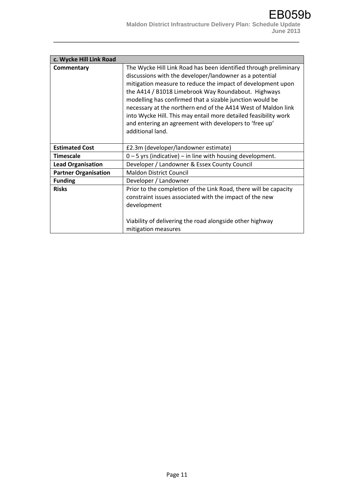| c. Wycke Hill Link Road     |                                                                                                                                                                                                                                                                                                                                                                                                                                                                                                                                 |
|-----------------------------|---------------------------------------------------------------------------------------------------------------------------------------------------------------------------------------------------------------------------------------------------------------------------------------------------------------------------------------------------------------------------------------------------------------------------------------------------------------------------------------------------------------------------------|
| Commentary                  | The Wycke Hill Link Road has been identified through preliminary<br>discussions with the developer/landowner as a potential<br>mitigation measure to reduce the impact of development upon<br>the A414 / B1018 Limebrook Way Roundabout. Highways<br>modelling has confirmed that a sizable junction would be<br>necessary at the northern end of the A414 West of Maldon link<br>into Wycke Hill. This may entail more detailed feasibility work<br>and entering an agreement with developers to 'free up'<br>additional land. |
| <b>Estimated Cost</b>       | £2.3m (developer/landowner estimate)                                                                                                                                                                                                                                                                                                                                                                                                                                                                                            |
| <b>Timescale</b>            | $0 - 5$ yrs (indicative) – in line with housing development.                                                                                                                                                                                                                                                                                                                                                                                                                                                                    |
| <b>Lead Organisation</b>    | Developer / Landowner & Essex County Council                                                                                                                                                                                                                                                                                                                                                                                                                                                                                    |
| <b>Partner Organisation</b> | <b>Maldon District Council</b>                                                                                                                                                                                                                                                                                                                                                                                                                                                                                                  |
| <b>Funding</b>              | Developer / Landowner                                                                                                                                                                                                                                                                                                                                                                                                                                                                                                           |
| <b>Risks</b>                | Prior to the completion of the Link Road, there will be capacity<br>constraint issues associated with the impact of the new<br>development<br>Viability of delivering the road alongside other highway<br>mitigation measures                                                                                                                                                                                                                                                                                                   |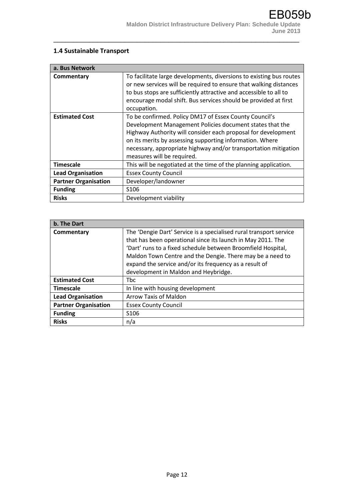# **1.4 Sustainable Transport**

| a. Bus Network              |                                                                                                                                                                                                                                                                                                                                                  |
|-----------------------------|--------------------------------------------------------------------------------------------------------------------------------------------------------------------------------------------------------------------------------------------------------------------------------------------------------------------------------------------------|
| Commentary                  | To facilitate large developments, diversions to existing bus routes<br>or new services will be required to ensure that walking distances<br>to bus stops are sufficiently attractive and accessible to all to<br>encourage modal shift. Bus services should be provided at first<br>occupation.                                                  |
| <b>Estimated Cost</b>       | To be confirmed. Policy DM17 of Essex County Council's<br>Development Management Policies document states that the<br>Highway Authority will consider each proposal for development<br>on its merits by assessing supporting information. Where<br>necessary, appropriate highway and/or transportation mitigation<br>measures will be required. |
| <b>Timescale</b>            | This will be negotiated at the time of the planning application.                                                                                                                                                                                                                                                                                 |
| <b>Lead Organisation</b>    | <b>Essex County Council</b>                                                                                                                                                                                                                                                                                                                      |
| <b>Partner Organisation</b> | Developer/landowner                                                                                                                                                                                                                                                                                                                              |
| <b>Funding</b>              | S <sub>106</sub>                                                                                                                                                                                                                                                                                                                                 |
| <b>Risks</b>                | Development viability                                                                                                                                                                                                                                                                                                                            |

| b. The Dart                 |                                                                    |
|-----------------------------|--------------------------------------------------------------------|
| Commentary                  | The 'Dengie Dart' Service is a specialised rural transport service |
|                             | that has been operational since its launch in May 2011. The        |
|                             | 'Dart' runs to a fixed schedule between Broomfield Hospital,       |
|                             | Maldon Town Centre and the Dengie. There may be a need to          |
|                             | expand the service and/or its frequency as a result of             |
|                             | development in Maldon and Heybridge.                               |
| <b>Estimated Cost</b>       | <b>Thc</b>                                                         |
| <b>Timescale</b>            | In line with housing development                                   |
| <b>Lead Organisation</b>    | <b>Arrow Taxis of Maldon</b>                                       |
| <b>Partner Organisation</b> | <b>Essex County Council</b>                                        |
| <b>Funding</b>              | S <sub>106</sub>                                                   |
| <b>Risks</b>                | n/a                                                                |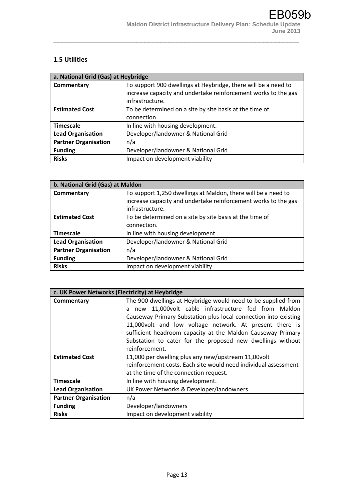#### **1.5 Utilities**

| a. National Grid (Gas) at Heybridge |                                                                |
|-------------------------------------|----------------------------------------------------------------|
| Commentary                          | To support 900 dwellings at Heybridge, there will be a need to |
|                                     | increase capacity and undertake reinforcement works to the gas |
|                                     | infrastructure.                                                |
| <b>Estimated Cost</b>               | To be determined on a site by site basis at the time of        |
|                                     | connection.                                                    |
| <b>Timescale</b>                    | In line with housing development.                              |
| <b>Lead Organisation</b>            | Developer/landowner & National Grid                            |
| <b>Partner Organisation</b>         | n/a                                                            |
| <b>Funding</b>                      | Developer/landowner & National Grid                            |
| <b>Risks</b>                        | Impact on development viability                                |

| b. National Grid (Gas) at Maldon |                                                                |
|----------------------------------|----------------------------------------------------------------|
| Commentary                       | To support 1,250 dwellings at Maldon, there will be a need to  |
|                                  | increase capacity and undertake reinforcement works to the gas |
|                                  | infrastructure.                                                |
| <b>Estimated Cost</b>            | To be determined on a site by site basis at the time of        |
|                                  | connection.                                                    |
| <b>Timescale</b>                 | In line with housing development.                              |
| <b>Lead Organisation</b>         | Developer/landowner & National Grid                            |
| <b>Partner Organisation</b>      | n/a                                                            |
| <b>Funding</b>                   | Developer/landowner & National Grid                            |
| <b>Risks</b>                     | Impact on development viability                                |

|                             | c. UK Power Networks (Electricity) at Heybridge                 |  |
|-----------------------------|-----------------------------------------------------------------|--|
| Commentary                  | The 900 dwellings at Heybridge would need to be supplied from   |  |
|                             | new 11,000 volt cable infrastructure fed from Maldon<br>a       |  |
|                             | Causeway Primary Substation plus local connection into existing |  |
|                             | 11,000 volt and low voltage network. At present there is        |  |
|                             | sufficient headroom capacity at the Maldon Causeway Primary     |  |
|                             | Substation to cater for the proposed new dwellings without      |  |
|                             | reinforcement.                                                  |  |
| <b>Estimated Cost</b>       | £1,000 per dwelling plus any new/upstream 11,00 volt            |  |
|                             | reinforcement costs. Each site would need individual assessment |  |
|                             | at the time of the connection request.                          |  |
| <b>Timescale</b>            | In line with housing development.                               |  |
| <b>Lead Organisation</b>    | UK Power Networks & Developer/landowners                        |  |
| <b>Partner Organisation</b> | n/a                                                             |  |
| <b>Funding</b>              | Developer/landowners                                            |  |
| <b>Risks</b>                | Impact on development viability                                 |  |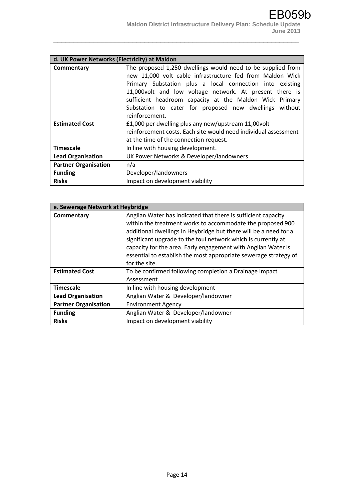|                             | d. UK Power Networks (Electricity) at Maldon                    |  |
|-----------------------------|-----------------------------------------------------------------|--|
| Commentary                  | The proposed 1,250 dwellings would need to be supplied from     |  |
|                             | new 11,000 volt cable infrastructure fed from Maldon Wick       |  |
|                             | Primary Substation plus a local connection into existing        |  |
|                             | 11,000 volt and low voltage network. At present there is        |  |
|                             | sufficient headroom capacity at the Maldon Wick Primary         |  |
|                             | Substation to cater for proposed new dwellings without          |  |
|                             | reinforcement.                                                  |  |
| <b>Estimated Cost</b>       | £1,000 per dwelling plus any new/upstream 11,00volt             |  |
|                             | reinforcement costs. Each site would need individual assessment |  |
|                             | at the time of the connection request.                          |  |
| <b>Timescale</b>            | In line with housing development.                               |  |
| <b>Lead Organisation</b>    | UK Power Networks & Developer/landowners                        |  |
| <b>Partner Organisation</b> | n/a                                                             |  |
| <b>Funding</b>              | Developer/landowners                                            |  |
| <b>Risks</b>                | Impact on development viability                                 |  |

| e. Sewerage Network at Heybridge |                                                                                                                                                                                                                                                                                                                                                                                                                        |
|----------------------------------|------------------------------------------------------------------------------------------------------------------------------------------------------------------------------------------------------------------------------------------------------------------------------------------------------------------------------------------------------------------------------------------------------------------------|
| Commentary                       | Anglian Water has indicated that there is sufficient capacity<br>within the treatment works to accommodate the proposed 900<br>additional dwellings in Heybridge but there will be a need for a<br>significant upgrade to the foul network which is currently at<br>capacity for the area. Early engagement with Anglian Water is<br>essential to establish the most appropriate sewerage strategy of<br>for the site. |
| <b>Estimated Cost</b>            | To be confirmed following completion a Drainage Impact<br>Assessment                                                                                                                                                                                                                                                                                                                                                   |
| <b>Timescale</b>                 | In line with housing development                                                                                                                                                                                                                                                                                                                                                                                       |
| <b>Lead Organisation</b>         | Anglian Water & Developer/landowner                                                                                                                                                                                                                                                                                                                                                                                    |
| <b>Partner Organisation</b>      | <b>Environment Agency</b>                                                                                                                                                                                                                                                                                                                                                                                              |
| <b>Funding</b>                   | Anglian Water & Developer/landowner                                                                                                                                                                                                                                                                                                                                                                                    |
| <b>Risks</b>                     | Impact on development viability                                                                                                                                                                                                                                                                                                                                                                                        |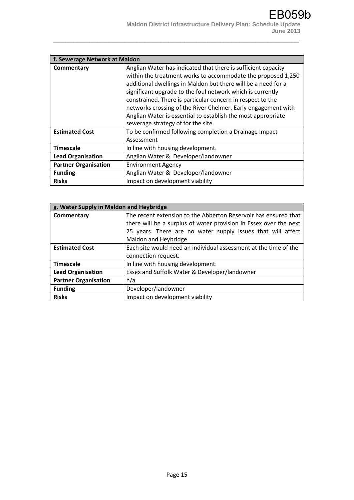|                             | f. Sewerage Network at Maldon                                                                                                                                                                                                                                                                                                                                                                                                                                                                     |  |
|-----------------------------|---------------------------------------------------------------------------------------------------------------------------------------------------------------------------------------------------------------------------------------------------------------------------------------------------------------------------------------------------------------------------------------------------------------------------------------------------------------------------------------------------|--|
| Commentary                  | Anglian Water has indicated that there is sufficient capacity<br>within the treatment works to accommodate the proposed 1,250<br>additional dwellings in Maldon but there will be a need for a<br>significant upgrade to the foul network which is currently<br>constrained. There is particular concern in respect to the<br>networks crossing of the River Chelmer. Early engagement with<br>Anglian Water is essential to establish the most appropriate<br>sewerage strategy of for the site. |  |
| <b>Estimated Cost</b>       | To be confirmed following completion a Drainage Impact<br>Assessment                                                                                                                                                                                                                                                                                                                                                                                                                              |  |
| <b>Timescale</b>            | In line with housing development.                                                                                                                                                                                                                                                                                                                                                                                                                                                                 |  |
| <b>Lead Organisation</b>    | Anglian Water & Developer/landowner                                                                                                                                                                                                                                                                                                                                                                                                                                                               |  |
| <b>Partner Organisation</b> | <b>Environment Agency</b>                                                                                                                                                                                                                                                                                                                                                                                                                                                                         |  |
| <b>Funding</b>              | Anglian Water & Developer/landowner                                                                                                                                                                                                                                                                                                                                                                                                                                                               |  |
| <b>Risks</b>                | Impact on development viability                                                                                                                                                                                                                                                                                                                                                                                                                                                                   |  |

| g. Water Supply in Maldon and Heybridge |                                                                   |
|-----------------------------------------|-------------------------------------------------------------------|
| Commentary                              | The recent extension to the Abberton Reservoir has ensured that   |
|                                         | there will be a surplus of water provision in Essex over the next |
|                                         | 25 years. There are no water supply issues that will affect       |
|                                         | Maldon and Heybridge.                                             |
| <b>Estimated Cost</b>                   | Each site would need an individual assessment at the time of the  |
|                                         | connection request.                                               |
| <b>Timescale</b>                        | In line with housing development.                                 |
| <b>Lead Organisation</b>                | Essex and Suffolk Water & Developer/landowner                     |
| <b>Partner Organisation</b>             | n/a                                                               |
| <b>Funding</b>                          | Developer/landowner                                               |
| <b>Risks</b>                            | Impact on development viability                                   |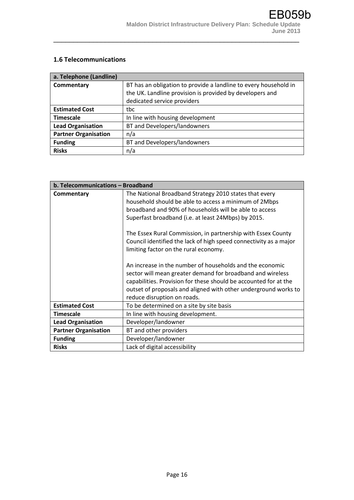#### **1.6 Telecommunications**

| a. Telephone (Landline)     |                                                                  |
|-----------------------------|------------------------------------------------------------------|
| Commentary                  | BT has an obligation to provide a landline to every household in |
|                             | the UK. Landline provision is provided by developers and         |
|                             | dedicated service providers                                      |
| <b>Estimated Cost</b>       | tbc                                                              |
| <b>Timescale</b>            | In line with housing development                                 |
| <b>Lead Organisation</b>    | BT and Developers/landowners                                     |
| <b>Partner Organisation</b> | n/a                                                              |
| <b>Funding</b>              | BT and Developers/landowners                                     |
| <b>Risks</b>                | n/a                                                              |

|                             | b. Telecommunications - Broadband                                                                                                                                                                                                                                                                                                                                                                                                                                                                                                                                                                                                                                                                              |  |
|-----------------------------|----------------------------------------------------------------------------------------------------------------------------------------------------------------------------------------------------------------------------------------------------------------------------------------------------------------------------------------------------------------------------------------------------------------------------------------------------------------------------------------------------------------------------------------------------------------------------------------------------------------------------------------------------------------------------------------------------------------|--|
| Commentary                  | The National Broadband Strategy 2010 states that every<br>household should be able to access a minimum of 2Mbps<br>broadband and 90% of households will be able to access<br>Superfast broadband (i.e. at least 24Mbps) by 2015.<br>The Essex Rural Commission, in partnership with Essex County<br>Council identified the lack of high speed connectivity as a major<br>limiting factor on the rural economy.<br>An increase in the number of households and the economic<br>sector will mean greater demand for broadband and wireless<br>capabilities. Provision for these should be accounted for at the<br>outset of proposals and aligned with other underground works to<br>reduce disruption on roads. |  |
| <b>Estimated Cost</b>       | To be determined on a site by site basis                                                                                                                                                                                                                                                                                                                                                                                                                                                                                                                                                                                                                                                                       |  |
| <b>Timescale</b>            | In line with housing development.                                                                                                                                                                                                                                                                                                                                                                                                                                                                                                                                                                                                                                                                              |  |
| <b>Lead Organisation</b>    | Developer/landowner                                                                                                                                                                                                                                                                                                                                                                                                                                                                                                                                                                                                                                                                                            |  |
| <b>Partner Organisation</b> | BT and other providers                                                                                                                                                                                                                                                                                                                                                                                                                                                                                                                                                                                                                                                                                         |  |
| <b>Funding</b>              | Developer/landowner                                                                                                                                                                                                                                                                                                                                                                                                                                                                                                                                                                                                                                                                                            |  |
| <b>Risks</b>                | Lack of digital accessibility                                                                                                                                                                                                                                                                                                                                                                                                                                                                                                                                                                                                                                                                                  |  |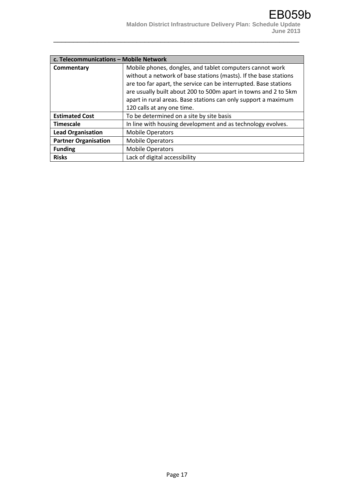| c. Telecommunications - Mobile Network |                                                                  |
|----------------------------------------|------------------------------------------------------------------|
| Commentary                             | Mobile phones, dongles, and tablet computers cannot work         |
|                                        | without a network of base stations (masts). If the base stations |
|                                        | are too far apart, the service can be interrupted. Base stations |
|                                        | are usually built about 200 to 500m apart in towns and 2 to 5km  |
|                                        | apart in rural areas. Base stations can only support a maximum   |
|                                        | 120 calls at any one time.                                       |
| <b>Estimated Cost</b>                  | To be determined on a site by site basis                         |
| <b>Timescale</b>                       | In line with housing development and as technology evolves.      |
| <b>Lead Organisation</b>               | <b>Mobile Operators</b>                                          |
| <b>Partner Organisation</b>            | <b>Mobile Operators</b>                                          |
| <b>Funding</b>                         | <b>Mobile Operators</b>                                          |
| <b>Risks</b>                           | Lack of digital accessibility                                    |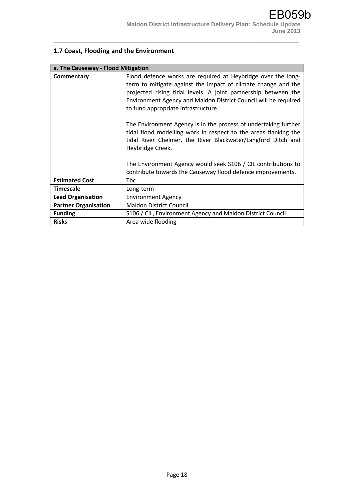# **1.7 Coast, Flooding and the Environment**

| a. The Causeway - Flood Mitigation |                                                                                                                                                                                                                                                                                                                                                                                                                                                                                                                                     |
|------------------------------------|-------------------------------------------------------------------------------------------------------------------------------------------------------------------------------------------------------------------------------------------------------------------------------------------------------------------------------------------------------------------------------------------------------------------------------------------------------------------------------------------------------------------------------------|
| Commentary                         | Flood defence works are required at Heybridge over the long-<br>term to mitigate against the impact of climate change and the<br>projected rising tidal levels. A joint partnership between the<br>Environment Agency and Maldon District Council will be required<br>to fund appropriate infrastructure.<br>The Environment Agency is in the process of undertaking further<br>tidal flood modelling work in respect to the areas flanking the<br>tidal River Chelmer, the River Blackwater/Langford Ditch and<br>Heybridge Creek. |
|                                    | The Environment Agency would seek S106 / CIL contributions to<br>contribute towards the Causeway flood defence improvements.                                                                                                                                                                                                                                                                                                                                                                                                        |
| <b>Estimated Cost</b>              | <b>Thc</b>                                                                                                                                                                                                                                                                                                                                                                                                                                                                                                                          |
| <b>Timescale</b>                   | Long-term                                                                                                                                                                                                                                                                                                                                                                                                                                                                                                                           |
| <b>Lead Organisation</b>           | <b>Environment Agency</b>                                                                                                                                                                                                                                                                                                                                                                                                                                                                                                           |
| <b>Partner Organisation</b>        | <b>Maldon District Council</b>                                                                                                                                                                                                                                                                                                                                                                                                                                                                                                      |
| <b>Funding</b>                     | S106 / CIL, Environment Agency and Maldon District Council                                                                                                                                                                                                                                                                                                                                                                                                                                                                          |
| <b>Risks</b>                       | Area wide flooding                                                                                                                                                                                                                                                                                                                                                                                                                                                                                                                  |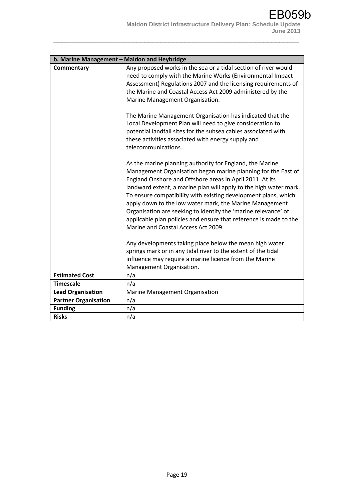|                             | b. Marine Management - Maldon and Heybridge                                                                                                                                                                                                                                                                                                                                                                                                                                                                                                                           |  |
|-----------------------------|-----------------------------------------------------------------------------------------------------------------------------------------------------------------------------------------------------------------------------------------------------------------------------------------------------------------------------------------------------------------------------------------------------------------------------------------------------------------------------------------------------------------------------------------------------------------------|--|
| Commentary                  | Any proposed works in the sea or a tidal section of river would<br>need to comply with the Marine Works (Environmental Impact<br>Assessment) Regulations 2007 and the licensing requirements of<br>the Marine and Coastal Access Act 2009 administered by the<br>Marine Management Organisation.                                                                                                                                                                                                                                                                      |  |
|                             | The Marine Management Organisation has indicated that the<br>Local Development Plan will need to give consideration to<br>potential landfall sites for the subsea cables associated with<br>these activities associated with energy supply and<br>telecommunications.                                                                                                                                                                                                                                                                                                 |  |
|                             | As the marine planning authority for England, the Marine<br>Management Organisation began marine planning for the East of<br>England Onshore and Offshore areas in April 2011. At its<br>landward extent, a marine plan will apply to the high water mark.<br>To ensure compatibility with existing development plans, which<br>apply down to the low water mark, the Marine Management<br>Organisation are seeking to identify the 'marine relevance' of<br>applicable plan policies and ensure that reference is made to the<br>Marine and Coastal Access Act 2009. |  |
|                             | Any developments taking place below the mean high water<br>springs mark or in any tidal river to the extent of the tidal<br>influence may require a marine licence from the Marine<br>Management Organisation.                                                                                                                                                                                                                                                                                                                                                        |  |
| <b>Estimated Cost</b>       | n/a                                                                                                                                                                                                                                                                                                                                                                                                                                                                                                                                                                   |  |
| <b>Timescale</b>            | n/a                                                                                                                                                                                                                                                                                                                                                                                                                                                                                                                                                                   |  |
| <b>Lead Organisation</b>    | Marine Management Organisation                                                                                                                                                                                                                                                                                                                                                                                                                                                                                                                                        |  |
| <b>Partner Organisation</b> | n/a                                                                                                                                                                                                                                                                                                                                                                                                                                                                                                                                                                   |  |
| <b>Funding</b>              | n/a                                                                                                                                                                                                                                                                                                                                                                                                                                                                                                                                                                   |  |
| <b>Risks</b>                | n/a                                                                                                                                                                                                                                                                                                                                                                                                                                                                                                                                                                   |  |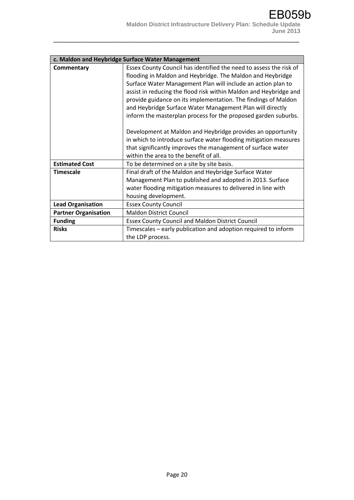|                             | c. Maldon and Heybridge Surface Water Management                   |
|-----------------------------|--------------------------------------------------------------------|
| Commentary                  | Essex County Council has identified the need to assess the risk of |
|                             | flooding in Maldon and Heybridge. The Maldon and Heybridge         |
|                             | Surface Water Management Plan will include an action plan to       |
|                             | assist in reducing the flood risk within Maldon and Heybridge and  |
|                             | provide guidance on its implementation. The findings of Maldon     |
|                             | and Heybridge Surface Water Management Plan will directly          |
|                             | inform the masterplan process for the proposed garden suburbs.     |
|                             |                                                                    |
|                             | Development at Maldon and Heybridge provides an opportunity        |
|                             | in which to introduce surface water flooding mitigation measures   |
|                             | that significantly improves the management of surface water        |
|                             | within the area to the benefit of all.                             |
| <b>Estimated Cost</b>       | To be determined on a site by site basis.                          |
| <b>Timescale</b>            | Final draft of the Maldon and Heybridge Surface Water              |
|                             | Management Plan to published and adopted in 2013. Surface          |
|                             | water flooding mitigation measures to delivered in line with       |
|                             | housing development.                                               |
| <b>Lead Organisation</b>    | <b>Essex County Council</b>                                        |
| <b>Partner Organisation</b> | <b>Maldon District Council</b>                                     |
| <b>Funding</b>              | <b>Essex County Council and Maldon District Council</b>            |
| <b>Risks</b>                | Timescales – early publication and adoption required to inform     |
|                             | the LDP process.                                                   |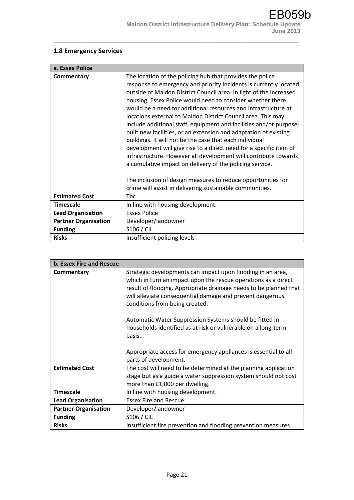### **1.8 Emergency Services**

| a. Essex Police             |                                                                                                                                                                                                                                                                                                                                                                                                                                                                                                                                                                                                                                                                                                                                                                                                                                                                                |
|-----------------------------|--------------------------------------------------------------------------------------------------------------------------------------------------------------------------------------------------------------------------------------------------------------------------------------------------------------------------------------------------------------------------------------------------------------------------------------------------------------------------------------------------------------------------------------------------------------------------------------------------------------------------------------------------------------------------------------------------------------------------------------------------------------------------------------------------------------------------------------------------------------------------------|
| Commentary                  | The location of the policing hub that provides the police<br>response to emergency and priority incidents is currently located<br>outside of Maldon District Council area. In light of the increased<br>housing, Essex Police would need to consider whether there<br>would be a need for additional resources and infrastructure at<br>locations external to Maldon District Council area. This may<br>include additional staff, equipment and facilities and/or purpose-<br>built new facilities, or an extension and adaptation of existing<br>buildings. It will not be the case that each individual<br>development will give rise to a direct need for a specific item of<br>infrastructure. However all development will contribute towards<br>a cumulative impact on delivery of the policing service.<br>The inclusion of design measures to reduce opportunities for |
|                             | crime will assist in delivering sustainable communities.                                                                                                                                                                                                                                                                                                                                                                                                                                                                                                                                                                                                                                                                                                                                                                                                                       |
| <b>Estimated Cost</b>       | <b>Tbc</b>                                                                                                                                                                                                                                                                                                                                                                                                                                                                                                                                                                                                                                                                                                                                                                                                                                                                     |
| <b>Timescale</b>            | In line with housing development.                                                                                                                                                                                                                                                                                                                                                                                                                                                                                                                                                                                                                                                                                                                                                                                                                                              |
| <b>Lead Organisation</b>    | <b>Essex Police</b>                                                                                                                                                                                                                                                                                                                                                                                                                                                                                                                                                                                                                                                                                                                                                                                                                                                            |
| <b>Partner Organisation</b> | Developer/landowner                                                                                                                                                                                                                                                                                                                                                                                                                                                                                                                                                                                                                                                                                                                                                                                                                                                            |
| <b>Funding</b>              | S106 / CIL                                                                                                                                                                                                                                                                                                                                                                                                                                                                                                                                                                                                                                                                                                                                                                                                                                                                     |
| <b>Risks</b>                | Insufficient policing levels                                                                                                                                                                                                                                                                                                                                                                                                                                                                                                                                                                                                                                                                                                                                                                                                                                                   |

| b. Essex Fire and Rescue    |                                                                                                                                                                                                                                                                                                   |
|-----------------------------|---------------------------------------------------------------------------------------------------------------------------------------------------------------------------------------------------------------------------------------------------------------------------------------------------|
| Commentary                  | Strategic developments can impact upon flooding in an area,<br>which in turn an impact upon the rescue operations as a direct<br>result of flooding. Appropriate drainage needs to be planned that<br>will alleviate consequential damage and prevent dangerous<br>conditions from being created. |
|                             | Automatic Water Suppression Systems should be fitted in<br>households identified as at risk or vulnerable on a long-term<br>basis.                                                                                                                                                                |
|                             | Appropriate access for emergency appliances is essential to all<br>parts of development.                                                                                                                                                                                                          |
| <b>Estimated Cost</b>       | The cost will need to be determined at the planning application<br>stage but as a guide a water suppression system should not cost<br>more than £1,000 per dwelling.                                                                                                                              |
| <b>Timescale</b>            | In line with housing development.                                                                                                                                                                                                                                                                 |
| <b>Lead Organisation</b>    | <b>Essex Fire and Rescue</b>                                                                                                                                                                                                                                                                      |
| <b>Partner Organisation</b> | Developer/landowner                                                                                                                                                                                                                                                                               |
| <b>Funding</b>              | S106 / CIL                                                                                                                                                                                                                                                                                        |
| <b>Risks</b>                | Insufficient fire prevention and flooding prevention measures                                                                                                                                                                                                                                     |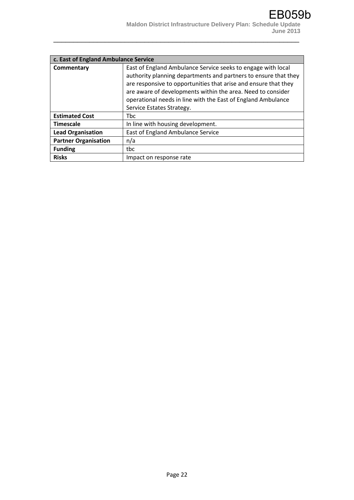| c. East of England Ambulance Service |                                                                 |
|--------------------------------------|-----------------------------------------------------------------|
| Commentary                           | East of England Ambulance Service seeks to engage with local    |
|                                      | authority planning departments and partners to ensure that they |
|                                      | are responsive to opportunities that arise and ensure that they |
|                                      | are aware of developments within the area. Need to consider     |
|                                      | operational needs in line with the East of England Ambulance    |
|                                      | Service Estates Strategy.                                       |
| <b>Estimated Cost</b>                | <b>Thc</b>                                                      |
| <b>Timescale</b>                     | In line with housing development.                               |
| <b>Lead Organisation</b>             | East of England Ambulance Service                               |
| <b>Partner Organisation</b>          | n/a                                                             |
| <b>Funding</b>                       | tbc.                                                            |
| <b>Risks</b>                         | Impact on response rate                                         |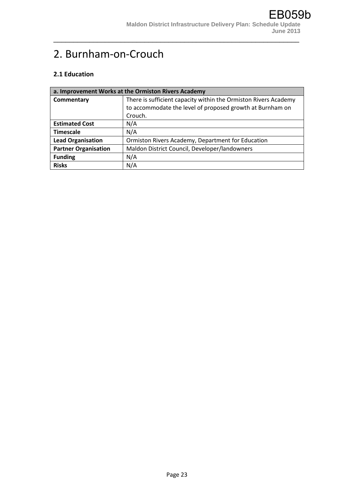# 2. Burnham-on-Crouch

#### **2.1 Education**

| a. Improvement Works at the Ormiston Rivers Academy |                                                                 |
|-----------------------------------------------------|-----------------------------------------------------------------|
| Commentary                                          | There is sufficient capacity within the Ormiston Rivers Academy |
|                                                     | to accommodate the level of proposed growth at Burnham on       |
|                                                     | Crouch.                                                         |
| <b>Estimated Cost</b>                               | N/A                                                             |
| <b>Timescale</b>                                    | N/A                                                             |
| <b>Lead Organisation</b>                            | Ormiston Rivers Academy, Department for Education               |
| <b>Partner Organisation</b>                         | Maldon District Council, Developer/landowners                   |
| <b>Funding</b>                                      | N/A                                                             |
| <b>Risks</b>                                        | N/A                                                             |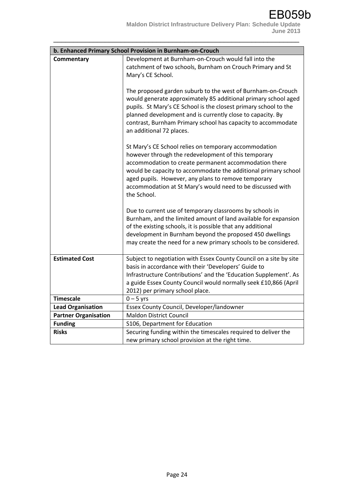|                             | b. Enhanced Primary School Provision in Burnham-on-Crouch                                                                                                                                                                                                                                                                                                                   |
|-----------------------------|-----------------------------------------------------------------------------------------------------------------------------------------------------------------------------------------------------------------------------------------------------------------------------------------------------------------------------------------------------------------------------|
| Commentary                  | Development at Burnham-on-Crouch would fall into the<br>catchment of two schools, Burnham on Crouch Primary and St<br>Mary's CE School.                                                                                                                                                                                                                                     |
|                             | The proposed garden suburb to the west of Burnham-on-Crouch<br>would generate approximately 85 additional primary school aged<br>pupils. St Mary's CE School is the closest primary school to the<br>planned development and is currently close to capacity. By<br>contrast, Burnham Primary school has capacity to accommodate<br>an additional 72 places.                 |
|                             | St Mary's CE School relies on temporary accommodation<br>however through the redevelopment of this temporary<br>accommodation to create permanent accommodation there<br>would be capacity to accommodate the additional primary school<br>aged pupils. However, any plans to remove temporary<br>accommodation at St Mary's would need to be discussed with<br>the School. |
|                             | Due to current use of temporary classrooms by schools in<br>Burnham, and the limited amount of land available for expansion<br>of the existing schools, it is possible that any additional<br>development in Burnham beyond the proposed 450 dwellings<br>may create the need for a new primary schools to be considered.                                                   |
| <b>Estimated Cost</b>       | Subject to negotiation with Essex County Council on a site by site<br>basis in accordance with their 'Developers' Guide to<br>Infrastructure Contributions' and the 'Education Supplement'. As<br>a guide Essex County Council would normally seek £10,866 (April<br>2012) per primary school place.                                                                        |
| <b>Timescale</b>            | $0 - 5$ yrs                                                                                                                                                                                                                                                                                                                                                                 |
| <b>Lead Organisation</b>    | Essex County Council, Developer/landowner                                                                                                                                                                                                                                                                                                                                   |
| <b>Partner Organisation</b> | <b>Maldon District Council</b>                                                                                                                                                                                                                                                                                                                                              |
| <b>Funding</b>              | S106, Department for Education                                                                                                                                                                                                                                                                                                                                              |
| <b>Risks</b>                | Securing funding within the timescales required to deliver the<br>new primary school provision at the right time.                                                                                                                                                                                                                                                           |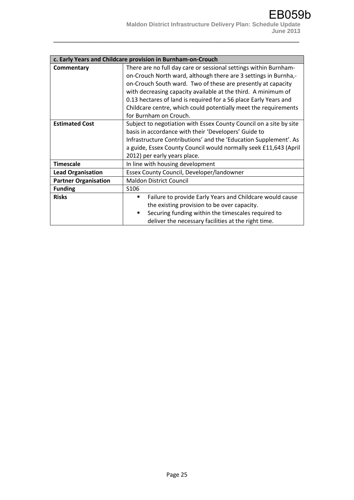|                             | c. Early Years and Childcare provision in Burnham-on-Crouch        |
|-----------------------------|--------------------------------------------------------------------|
| Commentary                  | There are no full day care or sessional settings within Burnham-   |
|                             | on-Crouch North ward, although there are 3 settings in Burnha,-    |
|                             | on-Crouch South ward. Two of these are presently at capacity       |
|                             | with decreasing capacity available at the third. A minimum of      |
|                             | 0.13 hectares of land is required for a 56 place Early Years and   |
|                             | Childcare centre, which could potentially meet the requirements    |
|                             | for Burnham on Crouch.                                             |
| <b>Estimated Cost</b>       | Subject to negotiation with Essex County Council on a site by site |
|                             | basis in accordance with their 'Developers' Guide to               |
|                             | Infrastructure Contributions' and the 'Education Supplement'. As   |
|                             | a guide, Essex County Council would normally seek £11,643 (April   |
|                             | 2012) per early years place.                                       |
| <b>Timescale</b>            | In line with housing development                                   |
| <b>Lead Organisation</b>    | Essex County Council, Developer/landowner                          |
| <b>Partner Organisation</b> | <b>Maldon District Council</b>                                     |
| <b>Funding</b>              | S <sub>106</sub>                                                   |
| <b>Risks</b>                | Failure to provide Early Years and Childcare would cause<br>٠      |
|                             | the existing provision to be over capacity.                        |
|                             | Securing funding within the timescales required to<br>٠            |
|                             | deliver the necessary facilities at the right time.                |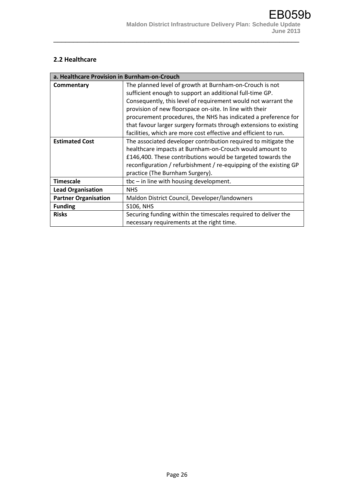#### **2.2 Healthcare**

| a. Healthcare Provision in Burnham-on-Crouch |                                                                   |
|----------------------------------------------|-------------------------------------------------------------------|
| Commentary                                   | The planned level of growth at Burnham-on-Crouch is not           |
|                                              | sufficient enough to support an additional full-time GP.          |
|                                              | Consequently, this level of requirement would not warrant the     |
|                                              | provision of new floorspace on-site. In line with their           |
|                                              | procurement procedures, the NHS has indicated a preference for    |
|                                              | that favour larger surgery formats through extensions to existing |
|                                              | facilities, which are more cost effective and efficient to run.   |
| <b>Estimated Cost</b>                        | The associated developer contribution required to mitigate the    |
|                                              | healthcare impacts at Burnham-on-Crouch would amount to           |
|                                              | £146,400. These contributions would be targeted towards the       |
|                                              | reconfiguration / refurbishment / re-equipping of the existing GP |
|                                              | practice (The Burnham Surgery).                                   |
| <b>Timescale</b>                             | $the - in line with housing development.$                         |
| <b>Lead Organisation</b>                     | <b>NHS</b>                                                        |
| <b>Partner Organisation</b>                  | Maldon District Council, Developer/landowners                     |
| <b>Funding</b>                               | <b>S106, NHS</b>                                                  |
| <b>Risks</b>                                 | Securing funding within the timescales required to deliver the    |
|                                              | necessary requirements at the right time.                         |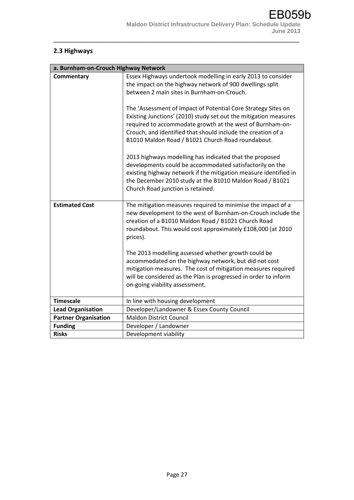# **2.3 Highways**

| a. Burnham-on-Crouch Highway Network |                                                                                                                                                                                                                                                                                                                     |
|--------------------------------------|---------------------------------------------------------------------------------------------------------------------------------------------------------------------------------------------------------------------------------------------------------------------------------------------------------------------|
| Commentary                           | Essex Highways undertook modelling in early 2013 to consider<br>the impact on the highway network of 900 dwellings split<br>between 2 main sites in Burnham-on-Crouch.                                                                                                                                              |
|                                      | The 'Assessment of Impact of Potential Core Strategy Sites on<br>Existing Junctions' (2010) study set out the mitigation measures<br>required to accommodate growth at the west of Burnham-on-<br>Crouch, and identified that should include the creation of a<br>B1010 Maldon Road / B1021 Church Road roundabout. |
|                                      | 2013 highways modelling has indicated that the proposed<br>developments could be accommodated satisfactorily on the<br>existing highway network if the mitigation measure identified in<br>the December 2010 study at the B1010 Maldon Road / B1021<br>Church Road junction is retained.                            |
| <b>Estimated Cost</b>                | The mitigation measures required to minimise the impact of a<br>new development to the west of Burnham-on-Crouch include the<br>creation of a B1010 Maldon Road / B1021 Church Road<br>roundabout. This would cost approximately £108,000 (at 2010<br>prices).                                                      |
|                                      | The 2013 modelling assessed whether growth could be<br>accommodated on the highway network, but did not cost<br>mitigation measures. The cost of mitigation measures required<br>will be considered as the Plan is progressed in order to inform<br>on-going viability assessment.                                  |
| <b>Timescale</b>                     | In line with housing development                                                                                                                                                                                                                                                                                    |
| <b>Lead Organisation</b>             | Developer/Landowner & Essex County Council                                                                                                                                                                                                                                                                          |
| <b>Partner Organisation</b>          | <b>Maldon District Council</b>                                                                                                                                                                                                                                                                                      |
| <b>Funding</b>                       | Developer / Landowner                                                                                                                                                                                                                                                                                               |
| <b>Risks</b>                         | Development viability                                                                                                                                                                                                                                                                                               |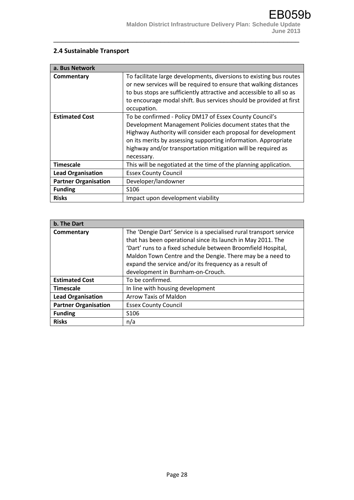### **2.4 Sustainable Transport**

| a. Bus Network              |                                                                                                                                                                                                                                                                                                                                      |
|-----------------------------|--------------------------------------------------------------------------------------------------------------------------------------------------------------------------------------------------------------------------------------------------------------------------------------------------------------------------------------|
| Commentary                  | To facilitate large developments, diversions to existing bus routes<br>or new services will be required to ensure that walking distances<br>to bus stops are sufficiently attractive and accessible to all so as<br>to encourage modal shift. Bus services should be provided at first<br>occupation.                                |
| <b>Estimated Cost</b>       | To be confirmed - Policy DM17 of Essex County Council's<br>Development Management Policies document states that the<br>Highway Authority will consider each proposal for development<br>on its merits by assessing supporting information. Appropriate<br>highway and/or transportation mitigation will be required as<br>necessary. |
| <b>Timescale</b>            | This will be negotiated at the time of the planning application.                                                                                                                                                                                                                                                                     |
| <b>Lead Organisation</b>    | <b>Essex County Council</b>                                                                                                                                                                                                                                                                                                          |
| <b>Partner Organisation</b> | Developer/landowner                                                                                                                                                                                                                                                                                                                  |
| <b>Funding</b>              | S106                                                                                                                                                                                                                                                                                                                                 |
| <b>Risks</b>                | Impact upon development viability                                                                                                                                                                                                                                                                                                    |

| b. The Dart                 |                                                                    |
|-----------------------------|--------------------------------------------------------------------|
| Commentary                  | The 'Dengie Dart' Service is a specialised rural transport service |
|                             | that has been operational since its launch in May 2011. The        |
|                             | 'Dart' runs to a fixed schedule between Broomfield Hospital,       |
|                             | Maldon Town Centre and the Dengie. There may be a need to          |
|                             | expand the service and/or its frequency as a result of             |
|                             | development in Burnham-on-Crouch.                                  |
| <b>Estimated Cost</b>       | To be confirmed.                                                   |
| <b>Timescale</b>            | In line with housing development                                   |
| <b>Lead Organisation</b>    | <b>Arrow Taxis of Maldon</b>                                       |
| <b>Partner Organisation</b> | <b>Essex County Council</b>                                        |
| <b>Funding</b>              | S <sub>106</sub>                                                   |
| <b>Risks</b>                | n/a                                                                |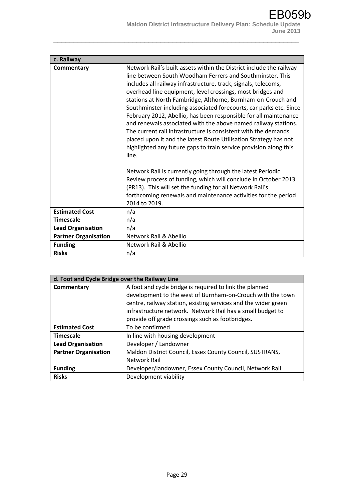| c. Railway                  |                                                                                                                                                                                                                                                                                                                                                                                                                                                                                                                                                                                                                                                                                                                                                                                                                                                                                                                                                                                                                                                  |
|-----------------------------|--------------------------------------------------------------------------------------------------------------------------------------------------------------------------------------------------------------------------------------------------------------------------------------------------------------------------------------------------------------------------------------------------------------------------------------------------------------------------------------------------------------------------------------------------------------------------------------------------------------------------------------------------------------------------------------------------------------------------------------------------------------------------------------------------------------------------------------------------------------------------------------------------------------------------------------------------------------------------------------------------------------------------------------------------|
| Commentary                  | Network Rail's built assets within the District include the railway<br>line between South Woodham Ferrers and Southminster. This<br>includes all railway infrastructure, track, signals, telecoms,<br>overhead line equipment, level crossings, most bridges and<br>stations at North Fambridge, Althorne, Burnham-on-Crouch and<br>Southminster including associated forecourts, car parks etc. Since<br>February 2012, Abellio, has been responsible for all maintenance<br>and renewals associated with the above named railway stations.<br>The current rail infrastructure is consistent with the demands<br>placed upon it and the latest Route Utilisation Strategy has not<br>highlighted any future gaps to train service provision along this<br>line.<br>Network Rail is currently going through the latest Periodic<br>Review process of funding, which will conclude in October 2013<br>(PR13). This will set the funding for all Network Rail's<br>forthcoming renewals and maintenance activities for the period<br>2014 to 2019. |
| <b>Estimated Cost</b>       | n/a                                                                                                                                                                                                                                                                                                                                                                                                                                                                                                                                                                                                                                                                                                                                                                                                                                                                                                                                                                                                                                              |
| <b>Timescale</b>            | n/a                                                                                                                                                                                                                                                                                                                                                                                                                                                                                                                                                                                                                                                                                                                                                                                                                                                                                                                                                                                                                                              |
| <b>Lead Organisation</b>    | n/a                                                                                                                                                                                                                                                                                                                                                                                                                                                                                                                                                                                                                                                                                                                                                                                                                                                                                                                                                                                                                                              |
| <b>Partner Organisation</b> | Network Rail & Abellio                                                                                                                                                                                                                                                                                                                                                                                                                                                                                                                                                                                                                                                                                                                                                                                                                                                                                                                                                                                                                           |
| <b>Funding</b>              | Network Rail & Abellio                                                                                                                                                                                                                                                                                                                                                                                                                                                                                                                                                                                                                                                                                                                                                                                                                                                                                                                                                                                                                           |
| <b>Risks</b>                | n/a                                                                                                                                                                                                                                                                                                                                                                                                                                                                                                                                                                                                                                                                                                                                                                                                                                                                                                                                                                                                                                              |

| d. Foot and Cycle Bridge over the Railway Line |                                                                |
|------------------------------------------------|----------------------------------------------------------------|
| Commentary                                     | A foot and cycle bridge is required to link the planned        |
|                                                | development to the west of Burnham-on-Crouch with the town     |
|                                                | centre, railway station, existing services and the wider green |
|                                                | infrastructure network. Network Rail has a small budget to     |
|                                                | provide off grade crossings such as footbridges.               |
| <b>Estimated Cost</b>                          | To be confirmed                                                |
| <b>Timescale</b>                               | In line with housing development                               |
| <b>Lead Organisation</b>                       | Developer / Landowner                                          |
| <b>Partner Organisation</b>                    | Maldon District Council, Essex County Council, SUSTRANS,       |
|                                                | Network Rail                                                   |
| <b>Funding</b>                                 | Developer/landowner, Essex County Council, Network Rail        |
| <b>Risks</b>                                   | Development viability                                          |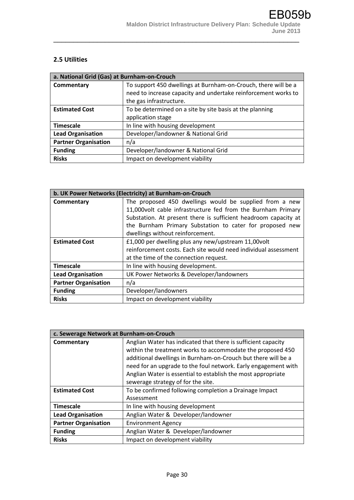#### **2.5 Utilities**

| a. National Grid (Gas) at Burnham-on-Crouch |                                                                |
|---------------------------------------------|----------------------------------------------------------------|
| Commentary                                  | To support 450 dwellings at Burnham-on-Crouch, there will be a |
|                                             | need to increase capacity and undertake reinforcement works to |
|                                             | the gas infrastructure.                                        |
| <b>Estimated Cost</b>                       | To be determined on a site by site basis at the planning       |
|                                             | application stage                                              |
| <b>Timescale</b>                            | In line with housing development                               |
| <b>Lead Organisation</b>                    | Developer/landowner & National Grid                            |
| <b>Partner Organisation</b>                 | n/a                                                            |
| <b>Funding</b>                              | Developer/landowner & National Grid                            |
| <b>Risks</b>                                | Impact on development viability                                |

| b. UK Power Networks (Electricity) at Burnham-on-Crouch |                                                                 |
|---------------------------------------------------------|-----------------------------------------------------------------|
| Commentary                                              | The proposed 450 dwellings would be supplied from a new         |
|                                                         | 11,000 volt cable infrastructure fed from the Burnham Primary   |
|                                                         | Substation. At present there is sufficient headroom capacity at |
|                                                         | the Burnham Primary Substation to cater for proposed new        |
|                                                         | dwellings without reinforcement.                                |
| <b>Estimated Cost</b>                                   | £1,000 per dwelling plus any new/upstream 11,00 volt            |
|                                                         | reinforcement costs. Each site would need individual assessment |
|                                                         | at the time of the connection request.                          |
| <b>Timescale</b>                                        | In line with housing development.                               |
| <b>Lead Organisation</b>                                | UK Power Networks & Developer/landowners                        |
| <b>Partner Organisation</b>                             | n/a                                                             |
| <b>Funding</b>                                          | Developer/landowners                                            |
| <b>Risks</b>                                            | Impact on development viability                                 |

| c. Sewerage Network at Burnham-on-Crouch |                                                                |
|------------------------------------------|----------------------------------------------------------------|
| Commentary                               | Anglian Water has indicated that there is sufficient capacity  |
|                                          | within the treatment works to accommodate the proposed 450     |
|                                          | additional dwellings in Burnham-on-Crouch but there will be a  |
|                                          | need for an upgrade to the foul network. Early engagement with |
|                                          | Anglian Water is essential to establish the most appropriate   |
|                                          | sewerage strategy of for the site.                             |
| <b>Estimated Cost</b>                    | To be confirmed following completion a Drainage Impact         |
|                                          | Assessment                                                     |
| <b>Timescale</b>                         | In line with housing development                               |
| <b>Lead Organisation</b>                 | Anglian Water & Developer/landowner                            |
| <b>Partner Organisation</b>              | <b>Environment Agency</b>                                      |
| <b>Funding</b>                           | Anglian Water & Developer/landowner                            |
| <b>Risks</b>                             | Impact on development viability                                |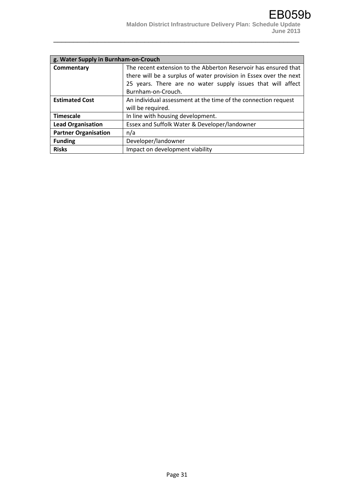| g. Water Supply in Burnham-on-Crouch |                                                                   |
|--------------------------------------|-------------------------------------------------------------------|
| Commentary                           | The recent extension to the Abberton Reservoir has ensured that   |
|                                      | there will be a surplus of water provision in Essex over the next |
|                                      | 25 years. There are no water supply issues that will affect       |
|                                      | Burnham-on-Crouch.                                                |
| <b>Estimated Cost</b>                | An individual assessment at the time of the connection request    |
|                                      | will be required.                                                 |
| <b>Timescale</b>                     | In line with housing development.                                 |
| <b>Lead Organisation</b>             | Essex and Suffolk Water & Developer/landowner                     |
| <b>Partner Organisation</b>          | n/a                                                               |
| <b>Funding</b>                       | Developer/landowner                                               |
| <b>Risks</b>                         | Impact on development viability                                   |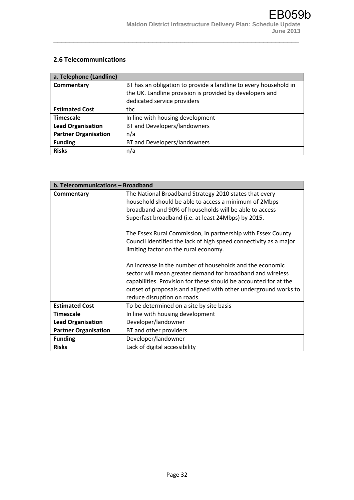#### **2.6 Telecommunications**

| a. Telephone (Landline)     |                                                                  |
|-----------------------------|------------------------------------------------------------------|
| Commentary                  | BT has an obligation to provide a landline to every household in |
|                             | the UK. Landline provision is provided by developers and         |
|                             | dedicated service providers                                      |
| <b>Estimated Cost</b>       | tbc                                                              |
| <b>Timescale</b>            | In line with housing development                                 |
| <b>Lead Organisation</b>    | BT and Developers/landowners                                     |
| <b>Partner Organisation</b> | n/a                                                              |
| <b>Funding</b>              | BT and Developers/landowners                                     |
| <b>Risks</b>                | n/a                                                              |

| b. Telecommunications - Broadband |                                                                                                                                                                                                                                                                                                                                                                                                                                                                                                                                                                                                                                                                                                                |
|-----------------------------------|----------------------------------------------------------------------------------------------------------------------------------------------------------------------------------------------------------------------------------------------------------------------------------------------------------------------------------------------------------------------------------------------------------------------------------------------------------------------------------------------------------------------------------------------------------------------------------------------------------------------------------------------------------------------------------------------------------------|
| Commentary                        | The National Broadband Strategy 2010 states that every<br>household should be able to access a minimum of 2Mbps<br>broadband and 90% of households will be able to access<br>Superfast broadband (i.e. at least 24Mbps) by 2015.<br>The Essex Rural Commission, in partnership with Essex County<br>Council identified the lack of high speed connectivity as a major<br>limiting factor on the rural economy.<br>An increase in the number of households and the economic<br>sector will mean greater demand for broadband and wireless<br>capabilities. Provision for these should be accounted for at the<br>outset of proposals and aligned with other underground works to<br>reduce disruption on roads. |
| <b>Estimated Cost</b>             | To be determined on a site by site basis                                                                                                                                                                                                                                                                                                                                                                                                                                                                                                                                                                                                                                                                       |
| <b>Timescale</b>                  | In line with housing development                                                                                                                                                                                                                                                                                                                                                                                                                                                                                                                                                                                                                                                                               |
| <b>Lead Organisation</b>          | Developer/landowner                                                                                                                                                                                                                                                                                                                                                                                                                                                                                                                                                                                                                                                                                            |
| <b>Partner Organisation</b>       | BT and other providers                                                                                                                                                                                                                                                                                                                                                                                                                                                                                                                                                                                                                                                                                         |
| <b>Funding</b>                    | Developer/landowner                                                                                                                                                                                                                                                                                                                                                                                                                                                                                                                                                                                                                                                                                            |
| <b>Risks</b>                      | Lack of digital accessibility                                                                                                                                                                                                                                                                                                                                                                                                                                                                                                                                                                                                                                                                                  |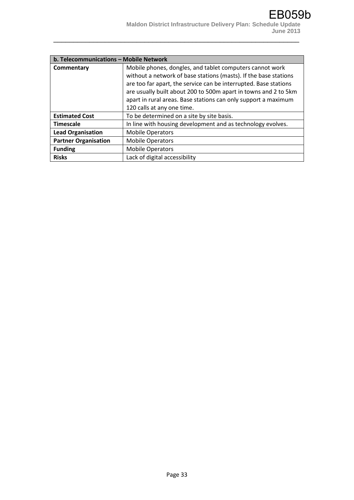| b. Telecommunications - Mobile Network |                                                                  |
|----------------------------------------|------------------------------------------------------------------|
| Commentary                             | Mobile phones, dongles, and tablet computers cannot work         |
|                                        | without a network of base stations (masts). If the base stations |
|                                        | are too far apart, the service can be interrupted. Base stations |
|                                        | are usually built about 200 to 500m apart in towns and 2 to 5km  |
|                                        | apart in rural areas. Base stations can only support a maximum   |
|                                        | 120 calls at any one time.                                       |
| <b>Estimated Cost</b>                  | To be determined on a site by site basis.                        |
| <b>Timescale</b>                       | In line with housing development and as technology evolves.      |
| <b>Lead Organisation</b>               | <b>Mobile Operators</b>                                          |
| <b>Partner Organisation</b>            | <b>Mobile Operators</b>                                          |
| <b>Funding</b>                         | <b>Mobile Operators</b>                                          |
| <b>Risks</b>                           | Lack of digital accessibility                                    |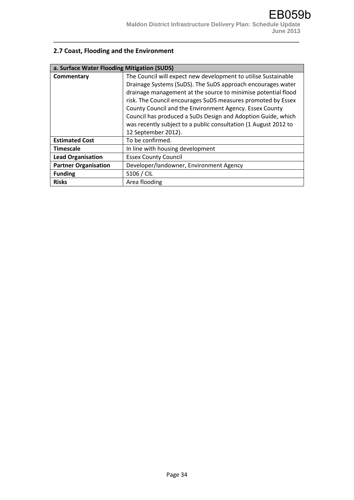# **2.7 Coast, Flooding and the Environment**

| a. Surface Water Flooding Mitigation (SUDS) |                                                                 |
|---------------------------------------------|-----------------------------------------------------------------|
| Commentary                                  | The Council will expect new development to utilise Sustainable  |
|                                             | Drainage Systems (SuDS). The SuDS approach encourages water     |
|                                             | drainage management at the source to minimise potential flood   |
|                                             | risk. The Council encourages SuDS measures promoted by Essex    |
|                                             | County Council and the Environment Agency. Essex County         |
|                                             | Council has produced a SuDs Design and Adoption Guide, which    |
|                                             | was recently subject to a public consultation (1 August 2012 to |
|                                             | 12 September 2012).                                             |
| <b>Estimated Cost</b>                       | To be confirmed.                                                |
| <b>Timescale</b>                            | In line with housing development                                |
| <b>Lead Organisation</b>                    | <b>Essex County Council</b>                                     |
| <b>Partner Organisation</b>                 | Developer/landowner, Environment Agency                         |
| <b>Funding</b>                              | S106 / CIL                                                      |
| <b>Risks</b>                                | Area flooding                                                   |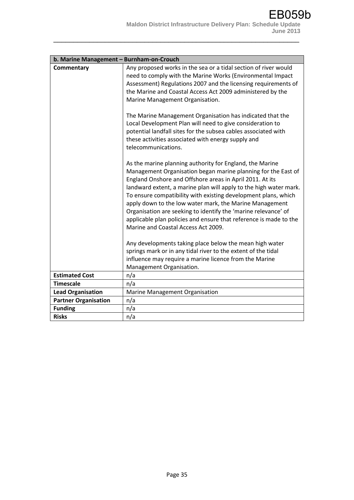| b. Marine Management - Burnham-on-Crouch |                                                                                                                                                                                                                                                                                                                                                                                                                                                                                                                                                                       |
|------------------------------------------|-----------------------------------------------------------------------------------------------------------------------------------------------------------------------------------------------------------------------------------------------------------------------------------------------------------------------------------------------------------------------------------------------------------------------------------------------------------------------------------------------------------------------------------------------------------------------|
| Commentary                               | Any proposed works in the sea or a tidal section of river would<br>need to comply with the Marine Works (Environmental Impact<br>Assessment) Regulations 2007 and the licensing requirements of<br>the Marine and Coastal Access Act 2009 administered by the<br>Marine Management Organisation.                                                                                                                                                                                                                                                                      |
|                                          | The Marine Management Organisation has indicated that the<br>Local Development Plan will need to give consideration to<br>potential landfall sites for the subsea cables associated with<br>these activities associated with energy supply and<br>telecommunications.                                                                                                                                                                                                                                                                                                 |
|                                          | As the marine planning authority for England, the Marine<br>Management Organisation began marine planning for the East of<br>England Onshore and Offshore areas in April 2011. At its<br>landward extent, a marine plan will apply to the high water mark.<br>To ensure compatibility with existing development plans, which<br>apply down to the low water mark, the Marine Management<br>Organisation are seeking to identify the 'marine relevance' of<br>applicable plan policies and ensure that reference is made to the<br>Marine and Coastal Access Act 2009. |
|                                          | Any developments taking place below the mean high water<br>springs mark or in any tidal river to the extent of the tidal<br>influence may require a marine licence from the Marine<br>Management Organisation.                                                                                                                                                                                                                                                                                                                                                        |
| <b>Estimated Cost</b>                    | n/a                                                                                                                                                                                                                                                                                                                                                                                                                                                                                                                                                                   |
| <b>Timescale</b>                         | n/a                                                                                                                                                                                                                                                                                                                                                                                                                                                                                                                                                                   |
| <b>Lead Organisation</b>                 | Marine Management Organisation                                                                                                                                                                                                                                                                                                                                                                                                                                                                                                                                        |
| <b>Partner Organisation</b>              | n/a                                                                                                                                                                                                                                                                                                                                                                                                                                                                                                                                                                   |
| <b>Funding</b>                           | n/a                                                                                                                                                                                                                                                                                                                                                                                                                                                                                                                                                                   |
| <b>Risks</b>                             | n/a                                                                                                                                                                                                                                                                                                                                                                                                                                                                                                                                                                   |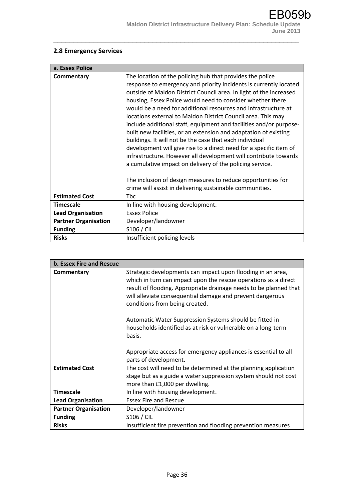### **2.8 Emergency Services**

| a. Essex Police             |                                                                                                                                                                                                                                                                                                                                                                                                                                                                                                                                                                                                                                                                                                                                                                                                                                                                                |
|-----------------------------|--------------------------------------------------------------------------------------------------------------------------------------------------------------------------------------------------------------------------------------------------------------------------------------------------------------------------------------------------------------------------------------------------------------------------------------------------------------------------------------------------------------------------------------------------------------------------------------------------------------------------------------------------------------------------------------------------------------------------------------------------------------------------------------------------------------------------------------------------------------------------------|
| Commentary                  | The location of the policing hub that provides the police<br>response to emergency and priority incidents is currently located<br>outside of Maldon District Council area. In light of the increased<br>housing, Essex Police would need to consider whether there<br>would be a need for additional resources and infrastructure at<br>locations external to Maldon District Council area. This may<br>include additional staff, equipment and facilities and/or purpose-<br>built new facilities, or an extension and adaptation of existing<br>buildings. It will not be the case that each individual<br>development will give rise to a direct need for a specific item of<br>infrastructure. However all development will contribute towards<br>a cumulative impact on delivery of the policing service.<br>The inclusion of design measures to reduce opportunities for |
|                             | crime will assist in delivering sustainable communities.                                                                                                                                                                                                                                                                                                                                                                                                                                                                                                                                                                                                                                                                                                                                                                                                                       |
| <b>Estimated Cost</b>       | Tbc                                                                                                                                                                                                                                                                                                                                                                                                                                                                                                                                                                                                                                                                                                                                                                                                                                                                            |
| <b>Timescale</b>            | In line with housing development.                                                                                                                                                                                                                                                                                                                                                                                                                                                                                                                                                                                                                                                                                                                                                                                                                                              |
| <b>Lead Organisation</b>    | <b>Essex Police</b>                                                                                                                                                                                                                                                                                                                                                                                                                                                                                                                                                                                                                                                                                                                                                                                                                                                            |
| <b>Partner Organisation</b> | Developer/landowner                                                                                                                                                                                                                                                                                                                                                                                                                                                                                                                                                                                                                                                                                                                                                                                                                                                            |
| <b>Funding</b>              | S106 / CIL                                                                                                                                                                                                                                                                                                                                                                                                                                                                                                                                                                                                                                                                                                                                                                                                                                                                     |
| <b>Risks</b>                | Insufficient policing levels                                                                                                                                                                                                                                                                                                                                                                                                                                                                                                                                                                                                                                                                                                                                                                                                                                                   |

| b. Essex Fire and Rescue    |                                                                                                                                                                                                                                                                                                    |
|-----------------------------|----------------------------------------------------------------------------------------------------------------------------------------------------------------------------------------------------------------------------------------------------------------------------------------------------|
| Commentary                  | Strategic developments can impact upon flooding in an area,<br>which in turn can impact upon the rescue operations as a direct<br>result of flooding. Appropriate drainage needs to be planned that<br>will alleviate consequential damage and prevent dangerous<br>conditions from being created. |
|                             | Automatic Water Suppression Systems should be fitted in<br>households identified as at risk or vulnerable on a long-term<br>basis.                                                                                                                                                                 |
|                             | Appropriate access for emergency appliances is essential to all<br>parts of development.                                                                                                                                                                                                           |
| <b>Estimated Cost</b>       | The cost will need to be determined at the planning application<br>stage but as a guide a water suppression system should not cost<br>more than £1,000 per dwelling.                                                                                                                               |
| <b>Timescale</b>            | In line with housing development.                                                                                                                                                                                                                                                                  |
| <b>Lead Organisation</b>    | <b>Essex Fire and Rescue</b>                                                                                                                                                                                                                                                                       |
| <b>Partner Organisation</b> | Developer/landowner                                                                                                                                                                                                                                                                                |
| <b>Funding</b>              | S106 / CIL                                                                                                                                                                                                                                                                                         |
| <b>Risks</b>                | Insufficient fire prevention and flooding prevention measures                                                                                                                                                                                                                                      |